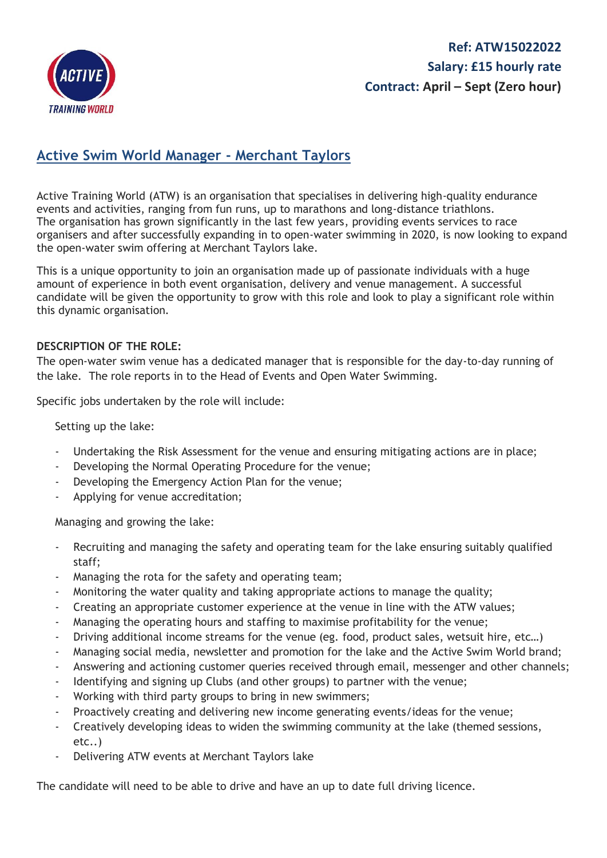

## **Ref: ATW15022022 Salary: £15 hourly rate Contract: April – Sept (Zero hour)**

## **Active Swim World Manager - Merchant Taylors**

Active Training World (ATW) is an organisation that specialises in delivering high-quality endurance events and activities, ranging from fun runs, up to marathons and long-distance triathlons. The organisation has grown significantly in the last few years, providing events services to race organisers and after successfully expanding in to open-water swimming in 2020, is now looking to expand the open-water swim offering at Merchant Taylors lake.

This is a unique opportunity to join an organisation made up of passionate individuals with a huge amount of experience in both event organisation, delivery and venue management. A successful candidate will be given the opportunity to grow with this role and look to play a significant role within this dynamic organisation.

## **DESCRIPTION OF THE ROLE:**

The open-water swim venue has a dedicated manager that is responsible for the day-to-day running of the lake. The role reports in to the Head of Events and Open Water Swimming.

Specific jobs undertaken by the role will include:

Setting up the lake:

- Undertaking the Risk Assessment for the venue and ensuring mitigating actions are in place;
- Developing the Normal Operating Procedure for the venue;
- Developing the Emergency Action Plan for the venue;
- Applying for venue accreditation;

Managing and growing the lake:

- Recruiting and managing the safety and operating team for the lake ensuring suitably qualified staff;
- Managing the rota for the safety and operating team;
- Monitoring the water quality and taking appropriate actions to manage the quality;
- Creating an appropriate customer experience at the venue in line with the ATW values;
- Managing the operating hours and staffing to maximise profitability for the venue;
- Driving additional income streams for the venue (eg. food, product sales, wetsuit hire, etc...)
- Managing social media, newsletter and promotion for the lake and the Active Swim World brand;
- Answering and actioning customer queries received through email, messenger and other channels;
- Identifying and signing up Clubs (and other groups) to partner with the venue;
- Working with third party groups to bring in new swimmers;
- Proactively creating and delivering new income generating events/ideas for the venue;
- Creatively developing ideas to widen the swimming community at the lake (themed sessions, etc..)
- Delivering ATW events at Merchant Taylors lake

The candidate will need to be able to drive and have an up to date full driving licence.